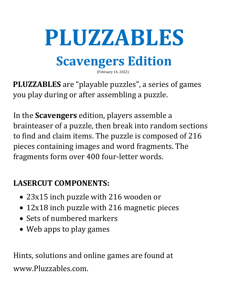# **PLUZZABLES**

## **Scavengers Edition**

(February 14, 2022)

**PLUZZABLES** are "playable puzzles", a series of games you play during or after assembling a puzzle.

In the **Scavengers** edition, players assemble a brainteaser of a puzzle, then break into random sections to find and claim items. The puzzle is composed of 216 pieces containing images and word fragments. The fragments form over 400 four-letter words.

### **LASERCUT COMPONENTS:**

- 23x15 inch puzzle with 216 wooden or
- 12x18 inch puzzle with 216 magnetic pieces
- Sets of numbered markers
- Web apps to play games

Hints, solutions and online games are found at www.Pluzzables.com.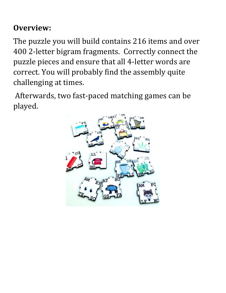#### **Overview:**

The puzzle you will build contains 216 items and over 400 2-letter bigram fragments. Correctly connect the puzzle pieces and ensure that all 4-letter words are correct. You will probably find the assembly quite challenging at times.

Afterwards, two fast-paced matching games can be played.

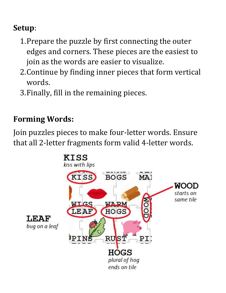#### **Setup**:

- 1.Prepare the puzzle by first connecting the outer edges and corners. These pieces are the easiest to join as the words are easier to visualize.
- 2.Continue by finding inner pieces that form vertical words.
- 3.Finally, fill in the remaining pieces.

#### **Forming Words:**

Join puzzles pieces to make four-letter words. Ensure that all 2-letter fragments form valid 4-letter words.

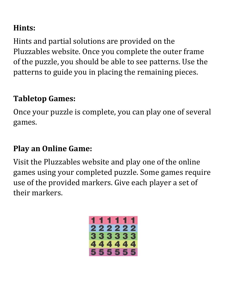#### **Hints:**

Hints and partial solutions are provided on the Pluzzables website. Once you complete the outer frame of the puzzle, you should be able to see patterns. Use the patterns to guide you in placing the remaining pieces.

#### **Tabletop Games:**

Once your puzzle is complete, you can play one of several games.

#### **Play an Online Game:**

Visit the Pluzzables website and play one of the online games using your completed puzzle. Some games require use of the provided markers. Give each player a set of their markers.

|  |  | 1 TK TK KI |  |
|--|--|------------|--|
|  |  | 222222     |  |
|  |  | 333333     |  |
|  |  | 444444     |  |
|  |  | 555555     |  |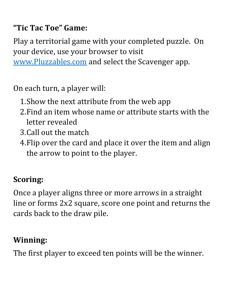#### **"Tic Tac Toe" Game:**

Play a territorial game with your completed puzzle. On your device, use your browser to visit [www.Pluzzables.com](http://www.pluzzables.com/) and select the Scavenger app.

On each turn, a player will:

- 1.Show the next attribute from the web app
- 2.Find an item whose name or attribute starts with the letter revealed
- 3.Call out the match
- 4.Flip over the card and place it over the item and align the arrow to point to the player.

#### **Scoring:**

Once a player aligns three or more arrows in a straight line or forms 2x2 square, score one point and returns the cards back to the draw pile.

#### **Winning:**

The first player to exceed ten points will be the winner.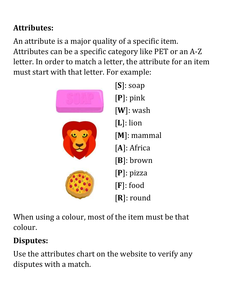#### **Attributes:**

An attribute is a major quality of a specific item. Attributes can be a specific category like PET or an A-Z letter. In order to match a letter, the attribute for an item must start with that letter. For example:



When using a colour, most of the item must be that colour.

#### **Disputes:**

Use the attributes chart on the website to verify any disputes with a match.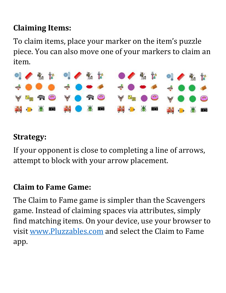#### **Claiming Items:**

To claim items, place your marker on the item's puzzle piece. You can also move one of your markers to claim an item.



#### **Strategy:**

If your opponent is close to completing a line of arrows, attempt to block with your arrow placement.

#### **Claim to Fame Game:**

The Claim to Fame game is simpler than the Scavengers game. Instead of claiming spaces via attributes, simply find matching items. On your device, use your browser to visit [www.Pluzzables.com](http://www.pluzzables.com/) and select the Claim to Fame app.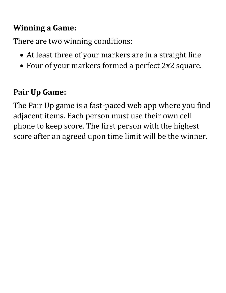#### **Winning a Game:**

There are two winning conditions:

- At least three of your markers are in a straight line
- Four of your markers formed a perfect 2x2 square.

#### **Pair Up Game:**

The Pair Up game is a fast-paced web app where you find adjacent items. Each person must use their own cell phone to keep score. The first person with the highest score after an agreed upon time limit will be the winner.